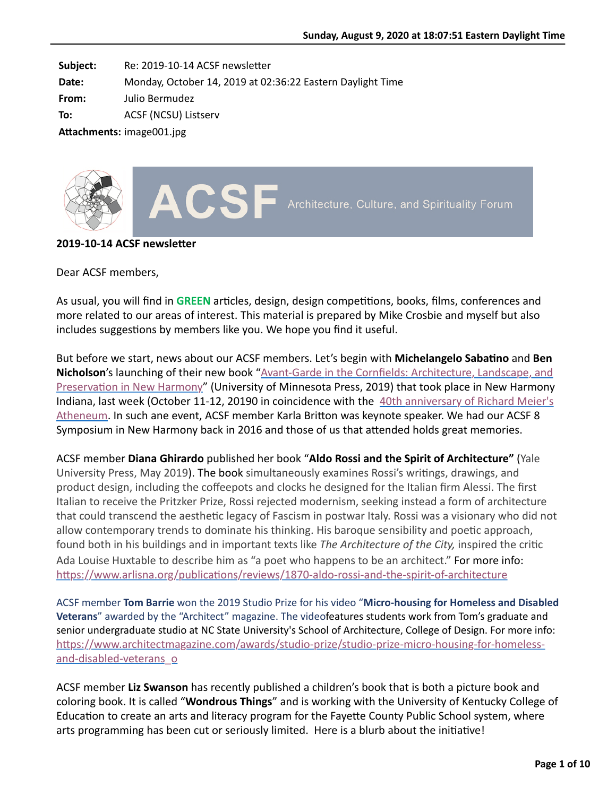**Subject:** Re: 2019-10-14 ACSF newsletter

**Date:** Monday, October 14, 2019 at 02:36:22 Eastern Daylight Time

**From:** Julio Bermudez

**To:** ACSF (NCSU) Listserv

Attachments: image001.jpg



#### **2019-10-14 ACSF newsletter**

Dear ACSF members,

As usual, you will find in **GREEN** articles, design, design competitions, books, films, conferences and more related to our areas of interest. This material is prepared by Mike Crosbie and myself but also includes suggestions by members like you. We hope you find it useful.

But before we start, news about our ACSF members. Let's begin with **Michelangelo Sabatino** and **Ben Nicholson's launching of their new book** "Avant-Garde in the Cornfields: Architecture, Landscape, and Preservation in New Harmony" (University of Minnesota Press, 2019) that took place in New Harmony [Indiana, last week \(October 11-12, 20190 in coincidence with the 40th anniversary of Richard Meier's](https://nam05.safelinks.protection.outlook.com/?url=https%3A%2F%2Fwww.usi.edu%2Foutreach%2Fhistoric-new-harmony%2Fprograms%2Fatheneum-40th-anniversary-celebration%2Fatheneum-40th-anniversary-celebration-speaker-series%2F&data=02%7C01%7Ckarla.britton%40yale.edu%7Cc2561023399840db9dde08d73f074e81%7Cdd8cbebb21394df8b4114e3e87abeb5c%7C0%7C0%7C637047172939908025&sdata=g2sAEgBWgbdyNv13jfM7Tf6XMXdwzPDOclRLjh%2B2t3I%3D&reserved=0) Atheneum. In such ane event, ACSF member Karla Britton was keynote speaker. We had our ACSF 8 Symposium in New Harmony back in 2016 and those of us that attended holds great memories.

ACSF member **Diana Ghirardo** published her book "**Aldo Rossi and the Spirit of Architecture"** (Yale University Press, May 2019). The book simultaneously examines Rossi's writings, drawings, and product design, including the coffeepots and clocks he designed for the Italian firm Alessi. The first Italian to receive the Pritzker Prize, Rossi rejected modernism, seeking instead a form of architecture that could transcend the aesthetic legacy of Fascism in postwar Italy. Rossi was a visionary who did not allow contemporary trends to dominate his thinking. His baroque sensibility and poetic approach, found both in his buildings and in important texts like *The Architecture of the City*, inspired the critic Ada Louise Huxtable to describe him as "a poet who happens to be an architect." For more info: https://www.arlisna.org/publications/reviews/1870-aldo-rossi-and-the-spirit-of-architecture

ACSF member **Tom Barrie** won the 2019 Studio Prize for his video "**Micro-housing for Homeless and Disabled Veterans**" awarded by the "Architect" magazine. The videofeatures students work from Tom's graduate and senior undergraduate studio at NC State University's School of Architecture, College of Design. For more info: https://www.architectmagazine.com/awards/studio-prize/studio-prize-micro-housing-for-homelessand-disabled-veterans\_o

ACSF member **Liz Swanson** has recently published a children's book that is both a picture book and coloring book. It is called "**Wondrous Things**" and is working with the University of Kentucky College of Education to create an arts and literacy program for the Fayette County Public School system, where arts programming has been cut or seriously limited. Here is a blurb about the initiative!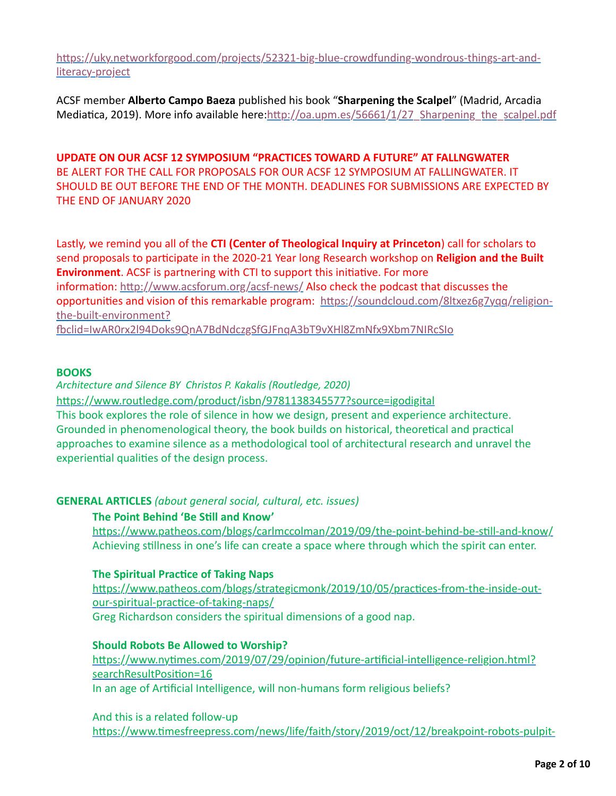https://uky.networkforgood.com/projects/52321-big-blue-crowdfunding-wondrous-things-art-andliteracy-project

ACSF member **Alberto Campo Baeza** published his book "**Sharpening the Scalpel**" (Madrid, Arcadia Mediatica, 2019). More info available here:http://oa.upm.es/56661/1/27\_Sharpening\_the\_scalpel.pdf

**UPDATE ON OUR ACSF 12 SYMPOSIUM "PRACTICES TOWARD A FUTURE" AT FALLNGWATER** BE ALERT FOR THE CALL FOR PROPOSALS FOR OUR ACSF 12 SYMPOSIUM AT FALLINGWATER. IT SHOULD BE OUT BEFORE THE END OF THE MONTH. DEADLINES FOR SUBMISSIONS ARE EXPECTED BY THE END OF JANUARY 2020

Lastly, we remind you all of the **CTI (Center of Theological Inquiry at Princeton**) call for scholars to send proposals to participate in the 2020-21 Year long Research workshop on **Religion and the Built Environment**. ACSF is partnering with CTI to support this initiative. For more information: http://www.acsforum.org/acsf-news/ Also check the podcast that discusses the opportunities and vision of this remarkable program: https://soundcloud.com/8ltxez6g7yqq/religionthe-built-environment?

oclid=IwAR0rx2l94Doks9QnA7BdNdczgSfGJFnqA3bT9vXHl8ZmNfx9Xbm7NIRcSIo

## **BOOKS**

*Architecture and Silence BY Christos P. Kakalis (Routledge, 2020)*

https://www.routledge.com/product/isbn/9781138345577?source=igodigital This book explores the role of silence in how we design, present and experience architecture. Grounded in phenomenological theory, the book builds on historical, theoretical and practical approaches to examine silence as a methodological tool of architectural research and unravel the experiential qualities of the design process.

## **GENERAL ARTICLES** *(about general social, cultural, etc. issues)*

## **The Point Behind 'Be Still and Know'**

https://www.patheos.com/blogs/carlmccolman/2019/09/the-point-behind-be-still-and-know/ Achieving stillness in one's life can create a space where through which the spirit can enter.

## **The Spiritual Practice of Taking Naps**

https://www.patheos.com/blogs/strategicmonk/2019/10/05/practices-from-the-inside-outour-spiritual-practice-of-taking-naps/ Greg Richardson considers the spiritual dimensions of a good nap.

## **Should Robots Be Allowed to Worship?**

https://www.nytimes.com/2019/07/29/opinion/future-artificial-intelligence-religion.html? searchResultPosition=16 In an age of Artificial Intelligence, will non-humans form religious beliefs?

And this is a related follow-up https://www.timesfreepress.com/news/life/faith/story/2019/oct/12/breakpoint-robots-pulpit-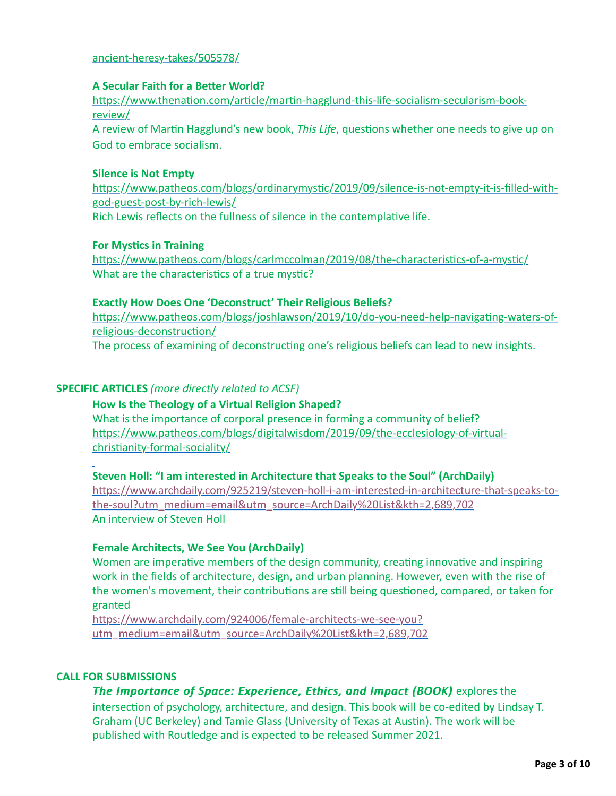## [ancient-heresy-takes/505578/](https://www.timesfreepress.com/news/life/faith/story/2019/oct/12/breakpoint-robots-pulpit-ancient-heresy-takes/505578/)

## **A Secular Faith for a Better World?**

https://www.thenation.com/article/martin-hagglund-this-life-socialism-secularism-bookreview/

A review of Martin Hagglund's new book, *This Life*, questions whether one needs to give up on God to embrace socialism.

## **Silence is Not Empty**

https://www.patheos.com/blogs/ordinarymystic/2019/09/silence-is-not-empty-it-is-filled-withgod-guest-post-by-rich-lewis/ Rich Lewis reflects on the fullness of silence in the contemplative life.

## **For Mystics in Training**

https://www.patheos.com/blogs/carlmccolman/2019/08/the-characteristics-of-a-mystic/ What are the characteristics of a true mystic?

## **Exactly How Does One 'Deconstruct' Their Religious Beliefs?**

https://www.patheos.com/blogs/joshlawson/2019/10/do-you-need-help-navigating-waters-ofreligious-deconstruction/

The process of examining of deconstructing one's religious beliefs can lead to new insights.

## **SPECIFIC ARTICLES** *(more directly related to ACSF)*

# **How Is the Theology of a Virtual Religion Shaped?**

What is the importance of corporal presence in forming a community of belief? https://www.patheos.com/blogs/digitalwisdom/2019/09/the-ecclesiology-of-virtualchristianity-formal-sociality/

#### **Steven Holl: "I am interested in Architecture that Speaks to the Soul" (ArchDaily)**

https://www.archdaily.com/925219/steven-holl-i-am-interested-in-architecture-that-speaks-tothe-soul?utm\_medium=email&utm\_source=ArchDaily%20List&kth=2,689,702 An interview of Steven Holl

#### **Female Architects, We See You (ArchDaily)**

Women are imperative members of the design community, creating innovative and inspiring work in the fields of architecture, design, and urban planning. However, even with the rise of the women's movement, their contributions are still being questioned, compared, or taken for granted

https://www.archdaily.com/924006/female-architects-we-see-you? [utm\\_medium=email&utm\\_source=ArchDaily%20List&kth=2,689,702](https://www.archdaily.com/924006/female-architects-we-see-you?utm_medium=email&utm_source=ArchDaily%20List&kth=2,689,702)

#### **CALL FOR SUBMISSIONS**

# *The Importance of Space: Experience, Ethics, and Impact (BOOK)* explores the

intersection of psychology, architecture, and design. This book will be co-edited by Lindsay T. Graham (UC Berkeley) and Tamie Glass (University of Texas at Austin). The work will be published with Routledge and is expected to be released Summer 2021.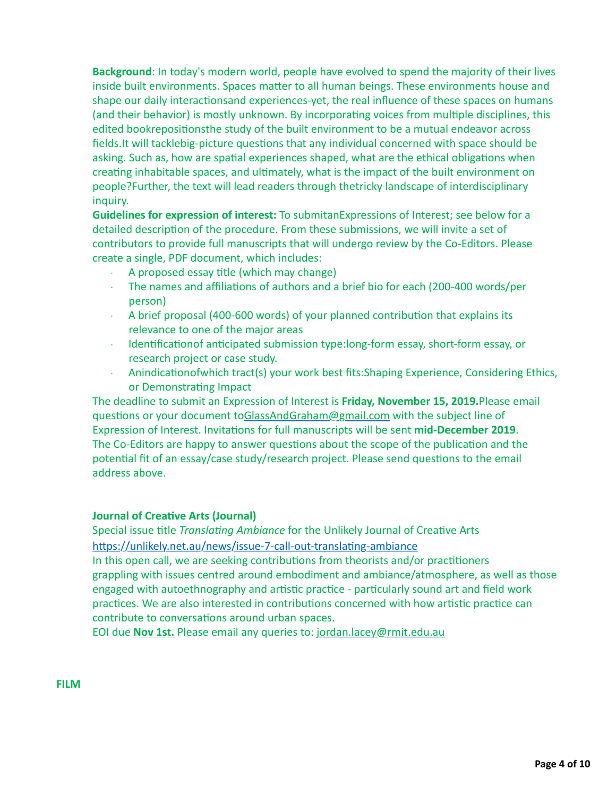**Background**: In today's modern world, people have evolved to spend the majority of their lives inside built environments. Spaces matter to all human beings. These environments house and shape our daily interactionsand experiences-yet, the real influence of these spaces on humans (and their behavior) is mostly unknown. By incorporating voices from multiple disciplines, this edited bookrepositionsthe study of the built environment to be a mutual endeavor across fields.It will tacklebig-picture questions that any individual concerned with space should be asking. Such as, how are spatial experiences shaped, what are the ethical obligations when creating inhabitable spaces, and ultimately, what is the impact of the built environment on people?Further, the text will lead readers through thetricky landscape of interdisciplinary inquiry.

**Guidelines for expression of interest:** To submitanExpressions of Interest; see below for a detailed description of the procedure. From these submissions, we will invite a set of contributors to provide full manuscripts that will undergo review by the Co-Editors. Please create a single, PDF document, which includes:

- $\cdot$  A proposed essay title (which may change)
- $\cdot$  The names and affiliations of authors and a brief bio for each (200-400 words/per person)
- $\cdot$  A brief proposal (400-600 words) of your planned contribution that explains its relevance to one of the major areas
- $\cdot$  Identification of anticipated submission type: long-form essay, short-form essay, or research project or case study.
- $\cdot$  Anindicationofwhich tract(s) your work best fits: Shaping Experience, Considering Ethics, or Demonstrating Impact

The deadline to submit an Expression of Interest is **Friday, November 15, 2019.**Please email questions or your document to[GlassAndGraham@gmail.com](mailto:GlassAndGraham@gmail.com) with the subject line of Expression of Interest. Invitations for full manuscripts will be sent mid-December 2019. The Co-Editors are happy to answer questions about the scope of the publication and the potential fit of an essay/case study/research project. Please send questions to the email address above.

## **Journal of Creative Arts (Journal)**

Special issue title *Translating Ambiance* for the Unlikely Journal of Creative Arts https://unlikely.net.au/news/issue-7-call-out-translating-ambiance

In this open call, we are seeking contributions from theorists and/or practitioners grappling with issues centred around embodiment and ambiance/atmosphere, as well as those engaged with autoethnography and artistic practice - particularly sound art and field work practices. We are also interested in contributions concerned with how artistic practice can contribute to conversations around urban spaces.

EOI due **Nov 1st.** Please email any queries to: [jordan.lacey@rmit.edu.au](mailto:jordan.lacey@rmit.edu.au)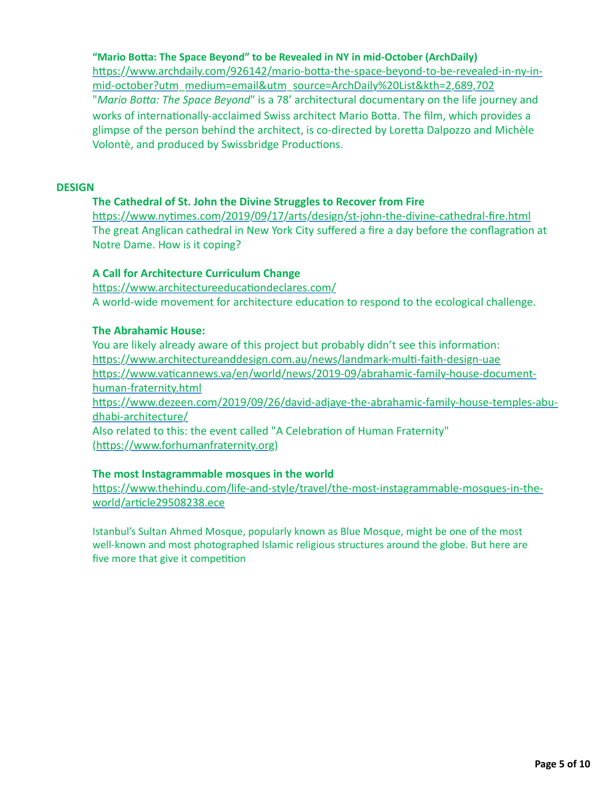**"Mario BoEa: The Space Beyond" to be Revealed in NY in mid-October (ArchDaily)** https://www.archdaily.com/926142/mario-botta-the-space-beyond-to-be-revealed-in-ny-inmid-october?utm\_medium=email&utm\_source=ArchDaily%20List&kth=2,689,702 "Mario Botta: The Space Beyond" is a 78' architectural documentary on the life journey and works of internationally-acclaimed Swiss architect Mario Botta. The film, which provides a glimpse of the person behind the architect, is co-directed by Loretta Dalpozzo and Michèle Volontè, and produced by Swissbridge Productions.

## **DESIGN**

## **The Cathedral of St. John the Divine Struggles to Recover from Fire**

https://www.nytimes.com/2019/09/17/arts/design/st-john-the-divine-cathedral-fire.html The great Anglican cathedral in New York City suffered a fire a day before the conflagration at Notre Dame. How is it coping?

## **A Call for Architecture Curriculum Change**

https://www.architectureeducationdeclares.com/ A world-wide movement for architecture education to respond to the ecological challenge.

## **The Abrahamic House:**

You are likely already aware of this project but probably didn't see this information: https://www.architectureanddesign.com.au/news/landmark-multi-faith-design-uae https://www.vaticannews.va/en/world/news/2019-09/abrahamic-family-house-documenthuman-fraternity.html https://www.dezeen.com/2019/09/26/david-adjaye-the-abrahamic-family-house-temples-abudhabi-architecture/ Also related to this: the event called "A Celebration of Human Fraternity" (https://www.forhumanfraternity.org)

## **The most Instagrammable mosques in the world**

https://www.thehindu.com/life-and-style/travel/the-most-instagrammable-mosques-in-theworld/article29508238.ece

Istanbul's Sultan Ahmed Mosque, popularly known as Blue Mosque, might be one of the most well-known and most photographed Islamic religious structures around the globe. But here are five more that give it competition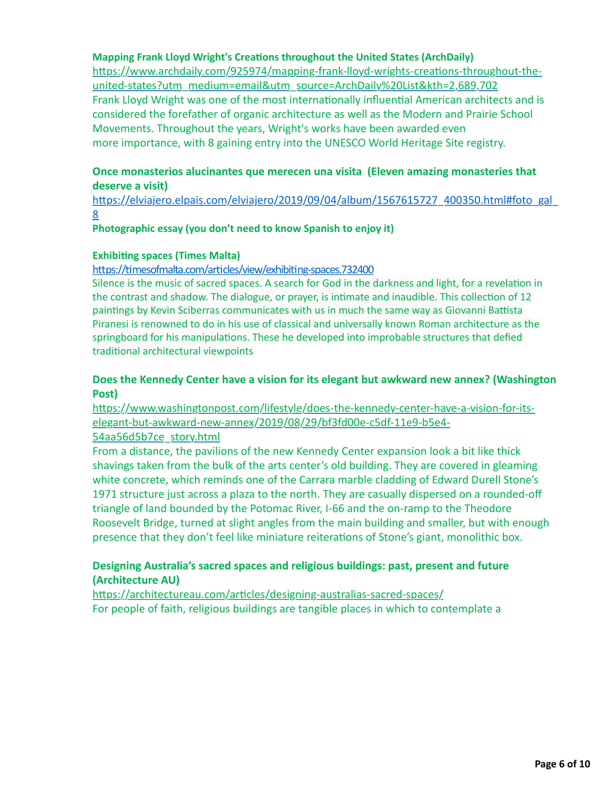## **Mapping Frank Lloyd Wright's Creations throughout the United States (ArchDaily)**

https://www.archdaily.com/925974/mapping-frank-lloyd-wrights-creations-throughout-theunited-states?utm\_medium=email&utm\_source=ArchDaily%20List&kth=2,689,702 Frank Lloyd Wright was one of the most internationally influential American architects and is considered the forefather of organic architecture as well as the Modern and Prairie School Movements. Throughout the years, Wright's works have been awarded even more importance, with 8 gaining entry into the UNESCO World Heritage Site registry.

## **Once monasterios alucinantes que merecen una visita (Eleven amazing monasteries that deserve a visit)**

https://elviajero.elpais.com/elviajero/2019/09/04/album/1567615727\_400350.html#foto\_gal 8

#### **Photographic essay (you don't need to know Spanish to enjoy it)**

#### **Exhibiting spaces (Times Malta)**

#### https://timesofmalta.com/articles/view/exhibiting-spaces.732400

Silence is the music of sacred spaces. A search for God in the darkness and light, for a revelation in the contrast and shadow. The dialogue, or prayer, is intimate and inaudible. This collection of 12 paintings by Kevin Sciberras communicates with us in much the same way as Giovanni Battista Piranesi is renowned to do in his use of classical and universally known Roman architecture as the springboard for his manipulations. These he developed into improbable structures that defied traditional architectural viewpoints

## **Does the Kennedy Center have a vision for its elegant but awkward new annex? (Washington Post)**

https://www.washingtonpost.com/lifestyle/does-the-kennedy-center-have-a-vision-for-itselegant-but-awkward-new-annex/2019/08/29/bf3fd00e-c5df-11e9-b5e4-

#### 54aa56d5b7ce\_story.html

From a distance, the pavilions of the new Kennedy Center expansion look a bit like thick shavings taken from the bulk of the arts center's old building. They are covered in gleaming white concrete, which reminds one of the Carrara marble cladding of Edward Durell Stone's 1971 structure just across a plaza to the north. They are casually dispersed on a rounded-off triangle of land bounded by the Potomac River, I-66 and the on-ramp to the Theodore Roosevelt Bridge, turned at slight angles from the main building and smaller, but with enough presence that they don't feel like miniature reiterations of Stone's giant, monolithic box.

## **Designing Australia's sacred spaces and religious buildings: past, present and future (Architecture AU)**

https://architectureau.com/articles/designing-australias-sacred-spaces/ For people of faith, religious buildings are tangible places in which to contemplate a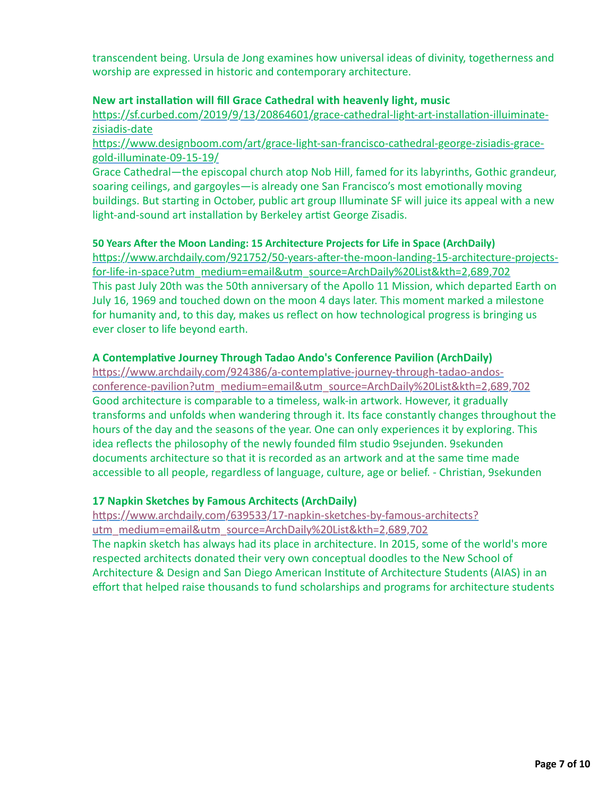transcendent being. Ursula de Jong examines how universal ideas of divinity, togetherness and worship are expressed in historic and contemporary architecture.

## **New art installation will fill Grace Cathedral with heavenly light, music**

https://sf.curbed.com/2019/9/13/20864601/grace-cathedral-light-art-installation-illuiminatezisiadis-date

https://www.designboom.com/art/grace-light-san-francisco-cathedral-george-zisiadis-gracegold-illuminate-09-15-19/

Grace Cathedral—the episcopal church atop Nob Hill, famed for its labyrinths, Gothic grandeur, soaring ceilings, and gargoyles-is already one San Francisco's most emotionally moving buildings. But starting in October, public art group Illuminate SF will juice its appeal with a new light-and-sound art installation by Berkeley artist George Zisadis.

## **50 Years Aler the Moon Landing: 15 Architecture Projects for Life in Space (ArchDaily)**

https://www.archdaily.com/921752/50-years-after-the-moon-landing-15-architecture-projectsfor-life-in-space?utm\_medium=email&utm\_source=ArchDaily%20List&kth=2,689,702 This past July 20th was the 50th anniversary of the Apollo 11 Mission, which departed Earth on July 16, 1969 and touched down on the moon 4 days later. This moment marked a milestone for humanity and, to this day, makes us reflect on how technological progress is bringing us ever closer to life beyond earth.

## **A Contemplative Journey Through Tadao Ando's Conference Pavilion (ArchDaily)**

https://www.archdaily.com/924386/a-contemplative-journey-through-tadao-andos[conference-pavilion?utm\\_medium=email&utm\\_source=ArchDaily%20List&kth=2,689,702](https://www.archdaily.com/924386/a-contemplative-journey-through-tadao-andos-conference-pavilion?utm_medium=email&utm_source=ArchDaily%20List&kth=2,689,702) Good architecture is comparable to a timeless, walk-in artwork. However, it gradually transforms and unfolds when wandering through it. Its face constantly changes throughout the hours of the day and the seasons of the year. One can only experiences it by exploring. This idea reflects the philosophy of the newly founded film studio 9sejunden. 9sekunden documents architecture so that it is recorded as an artwork and at the same time made accessible to all people, regardless of language, culture, age or belief. - Christian, 9sekunden

## **17 Napkin Sketches by Famous Architects (ArchDaily)**

https://www.archdaily.com/639533/17-napkin-sketches-by-famous-architects? utm\_medium=email&utm\_source=ArchDaily%20List&kth=2,689,702

The napkin sketch has always had its place in architecture. In 2015, some of the world's more respected architects donated their very own conceptual doodles to the New School of Architecture & Design and San Diego American Institute of Architecture Students (AIAS) in an effort that helped raise thousands to fund scholarships and programs for architecture students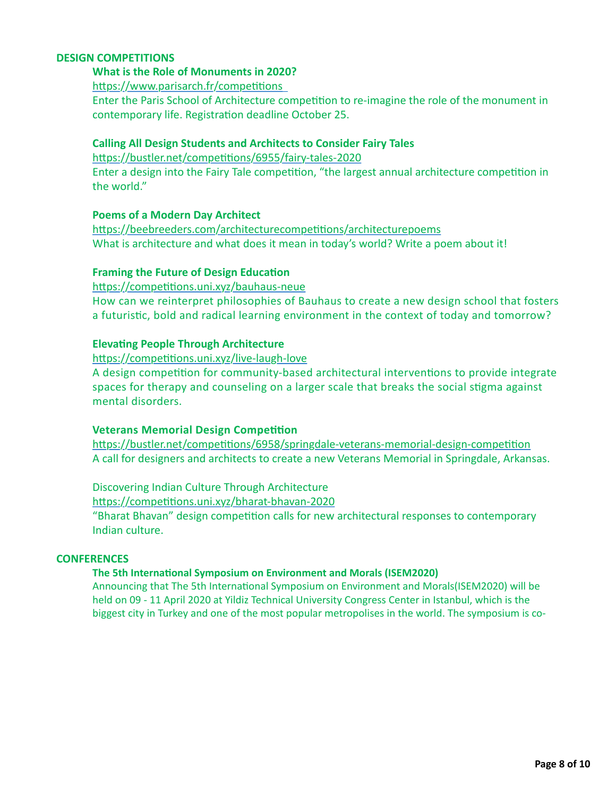## **DESIGN COMPETITIONS**

# **What is the Role of Monuments in 2020?**

https://www.parisarch.fr/competitions

Enter the Paris School of Architecture competition to re-imagine the role of the monument in contemporary life. Registration deadline October 25.

## **Calling All Design Students and Architects to Consider Fairy Tales**

https://bustler.net/competitions/6955/fairy-tales-2020

Enter a design into the Fairy Tale competition, "the largest annual architecture competition in the world."

## **Poems of a Modern Day Architect**

https://beebreeders.com/architecturecompetitions/architecturepoems What is architecture and what does it mean in today's world? Write a poem about it!

## **Framing the Future of Design Education**

https://competitions.uni.xyz/bauhaus-neue How can we reinterpret philosophies of Bauhaus to create a new design school that fosters a futuristic, bold and radical learning environment in the context of today and tomorrow?

## **Elevating People Through Architecture**

https://competitions.uni.xyz/live-laugh-love A design competition for community-based architectural interventions to provide integrate spaces for therapy and counseling on a larger scale that breaks the social stigma against mental disorders.

## **Veterans Memorial Design Competition**

https://bustler.net/competitions/6958/springdale-veterans-memorial-design-competition A call for designers and architects to create a new Veterans Memorial in Springdale, Arkansas.

Discovering Indian Culture Through Architecture https://competitions.uni.xyz/bharat-bhavan-2020 "Bharat Bhavan" design competition calls for new architectural responses to contemporary

Indian culture.

#### **CONFERENCES**

#### **The 5th International Symposium on Environment and Morals (ISEM2020)**

Announcing that The 5th International Symposium on Environment and Morals(ISEM2020) will be held on 09 - 11 April 2020 at Yildiz Technical University Congress Center in Istanbul, which is the biggest city in Turkey and one of the most popular metropolises in the world. The symposium is co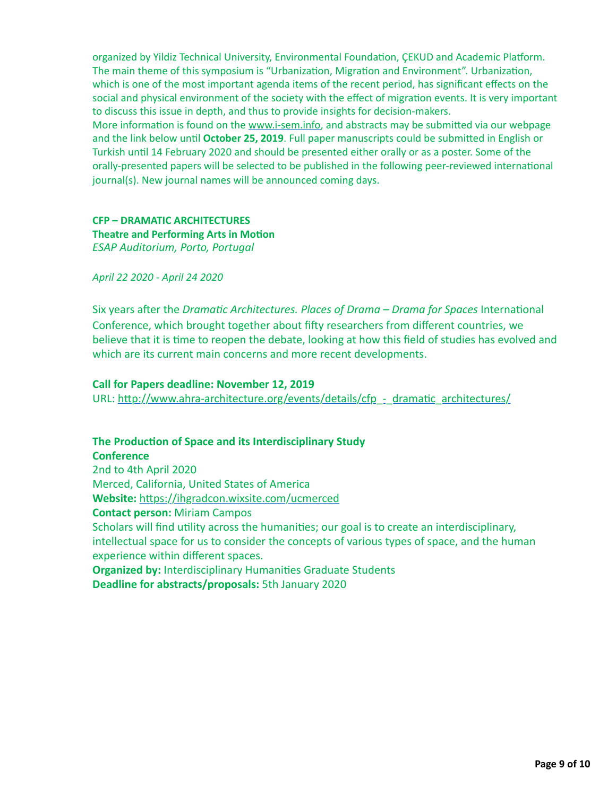organized by Yildiz Technical University, Environmental Foundation, ÇEKUD and Academic Platform. The main theme of this symposium is "Urbanization, Migration and Environment". Urbanization, which is one of the most important agenda items of the recent period, has significant effects on the social and physical environment of the society with the effect of migration events. It is very important to discuss this issue in depth, and thus to provide insights for decision-makers. More information is found on the [www.i-sem.info,](http://www.i-sem.info/) and abstracts may be submitted via our webpage and the link below until October 25, 2019. Full paper manuscripts could be submitted in English or Turkish until 14 February 2020 and should be presented either orally or as a poster. Some of the orally-presented papers will be selected to be published in the following peer-reviewed international journal(s). New journal names will be announced coming days.

## **CFP – DRAMATIC ARCHITECTURES Theatre and Performing Arts in Motion** *ESAP Auditorium, Porto, Portugal*

*April 22 2020 - April 24 2020*

Six years after the *Dramatic Architectures. Places of Drama – Drama for Spaces* International Conference, which brought together about fifty researchers from different countries, we believe that it is time to reopen the debate, looking at how this field of studies has evolved and which are its current main concerns and more recent developments.

## **Call for Papers deadline: November 12, 2019**

URL: http://www.ahra-architecture.org/events/details/cfp\_-\_ dramatic\_architectures/

## **The Production of Space and its Interdisciplinary Study**

**Conference** 2nd to 4th April 2020 Merced, California, United States of America Website: https://ihgradcon.wixsite.com/ucmerced **Contact person:** Miriam Campos Scholars will find utility across the humanities; our goal is to create an interdisciplinary, intellectual space for us to consider the concepts of various types of space, and the human experience within different spaces. **Organized by: Interdisciplinary Humanities Graduate Students** 

**Deadline for abstracts/proposals:** 5th January 2020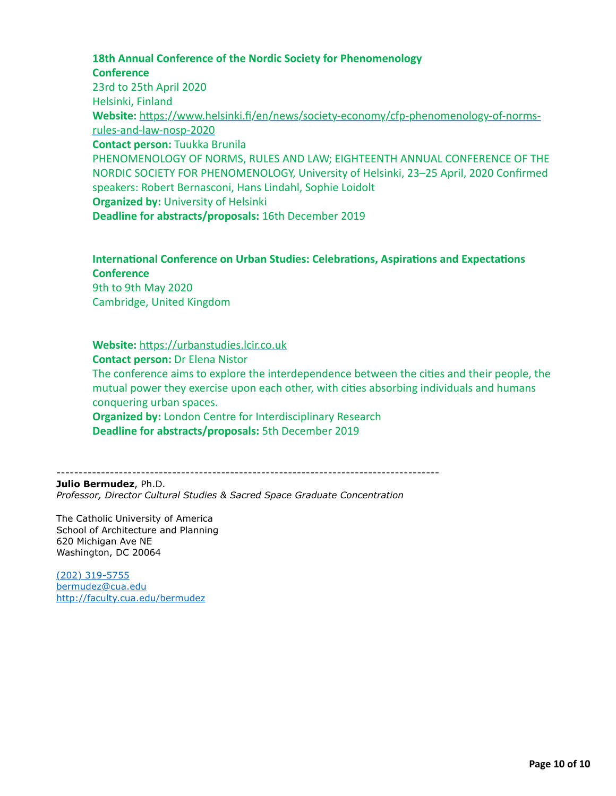# **18th Annual Conference of the Nordic Society for Phenomenology Conference**

23rd to 25th April 2020 Helsinki, Finland Website: https://www.helsinki.fi/en/news/society-economy/cfp-phenomenology-of-normsrules-and-law-nosp-2020 **Contact person:** Tuukka Brunila PHENOMENOLOGY OF NORMS, RULES AND LAW; EIGHTEENTH ANNUAL CONFERENCE OF THE NORDIC SOCIETY FOR PHENOMENOLOGY, University of Helsinki, 23–25 April, 2020 Confirmed speakers: Robert Bernasconi, Hans Lindahl, Sophie Loidolt **Organized by: University of Helsinki Deadline for abstracts/proposals:** 16th December 2019

# **International Conference on Urban Studies: Celebrations, Aspirations and Expectations Conference**

9th to 9th May 2020 Cambridge, United Kingdom

Website: https://urbanstudies.lcir.co.uk **Contact person:** Dr Elena Nistor The conference aims to explore the interdependence between the cities and their people, the mutual power they exercise upon each other, with cities absorbing individuals and humans conquering urban spaces. **Organized by:** London Centre for Interdisciplinary Research **Deadline for abstracts/proposals:** 5th December 2019

--------------------------------------------------------------------------------------

**Julio Bermudez**, Ph.D. *Professor, Director Cultural Studies & Sacred Space Graduate Concentration*

The Catholic University of America School of Architecture and Planning 620 Michigan Ave NE Washington, DC 20064

[\(202\) 319-5755](tel:(202)%20319-5755) [bermudez@cua.edu](http://bermudez@cua.edu/) <http://faculty.cua.edu/bermudez>